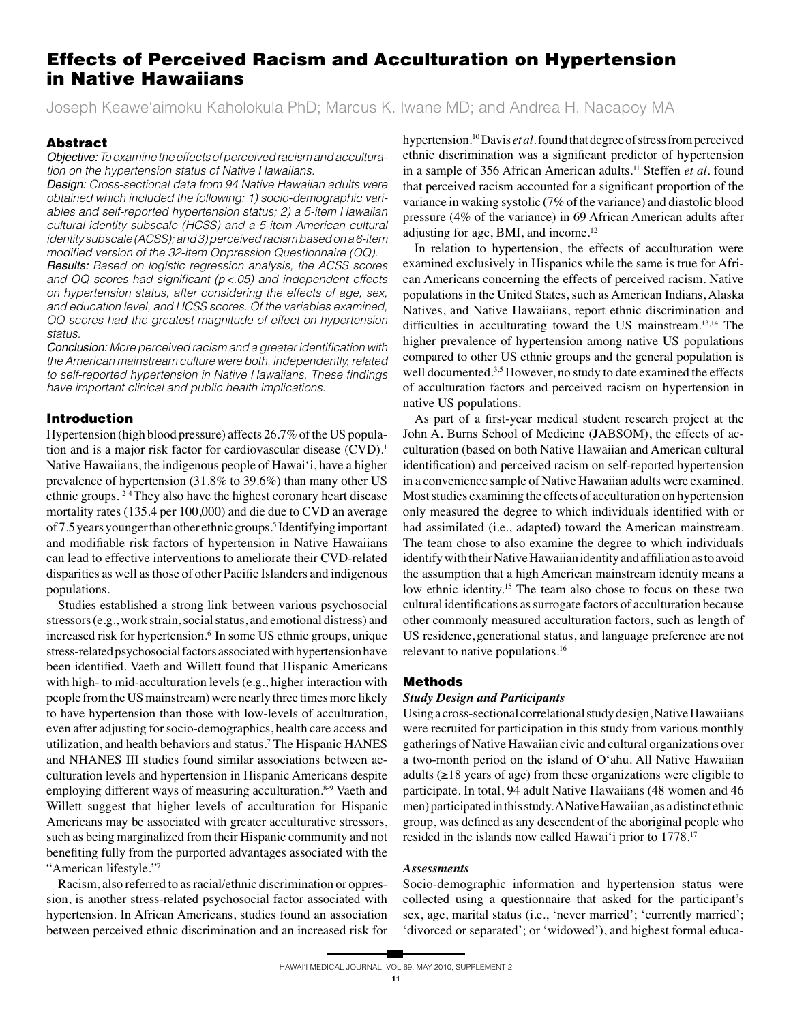# **Effects of Perceived Racism and Acculturation on Hypertension in Native Hawaiians**

Joseph Keawe'aimoku Kaholokula PhD; Marcus K. Iwane MD; and Andrea H. Nacapoy MA

## **Abstract**

Objective: To examine the effects of perceived racism and acculturation on the hypertension status of Native Hawaiians.

Design: Cross-sectional data from 94 Native Hawaiian adults were obtained which included the following: 1) socio-demographic variables and self-reported hypertension status; 2) a 5-item Hawaiian cultural identity subscale (HCSS) and a 5-item American cultural identity subscale (ACSS); and 3) perceived racism based on a 6-item modified version of the 32-item Oppression Questionnaire (OQ).

**Results:** Based on logistic regression analysis, the ACSS scores and OQ scores had significant ( $p < .05$ ) and independent effects on hypertension status, after considering the effects of age, sex, and education level, and HCSS scores. Of the variables examined, OQ scores had the greatest magnitude of effect on hypertension status.

Conclusion: More perceived racism and a greater identification with the American mainstream culture were both, independently, related to self-reported hypertension in Native Hawaiians. These findings have important clinical and public health implications.

## **Introduction**

Hypertension (high blood pressure) affects 26.7% of the US population and is a major risk factor for cardiovascular disease (CVD).<sup>1</sup> Native Hawaiians, the indigenous people of Hawai'i, have a higher prevalence of hypertension (31.8% to 39.6%) than many other US ethnic groups.<sup>24</sup>They also have the highest coronary heart disease mortality rates (135.4 per 100,000) and die due to CVD an average of 7.5 years younger than other ethnic groups.<sup>5</sup> Identifying important and modifiable risk factors of hypertension in Native Hawaiians can lead to effective interventions to ameliorate their CVD-related disparities as well as those of other Pacific Islanders and indigenous populations.

Studies established a strong link between various psychosocial stressors (e.g., work strain, social status, and emotional distress) and increased risk for hypertension.<sup>6</sup> In some US ethnic groups, unique stress-related psychosocial factors associated with hypertension have been identified. Vaeth and Willett found that Hispanic Americans with high- to mid-acculturation levels (e.g., higher interaction with people from the US mainstream) were nearly three times more likely to have hypertension than those with low-levels of acculturation, even after adjusting for socio-demographics, health care access and utilization, and health behaviors and status.<sup>7</sup> The Hispanic HANES and NHANES III studies found similar associations between acculturation levels and hypertension in Hispanic Americans despite employing different ways of measuring acculturation.<sup>8-9</sup> Vaeth and Willett suggest that higher levels of acculturation for Hispanic Americans may be associated with greater acculturative stressors, such as being marginalized from their Hispanic community and not benefiting fully from the purported advantages associated with the "American lifestyle."7

Racism, also referred to as racial/ethnic discrimination or oppression, is another stress-related psychosocial factor associated with hypertension. In African Americans, studies found an association between perceived ethnic discrimination and an increased risk for

hypertension.<sup>10</sup> Davis et al. found that degree of stress from perceived ethnic discrimination was a significant predictor of hypertension in a sample of 356 African American adults.<sup>11</sup> Steffen et al. found that perceived racism accounted for a significant proportion of the variance in waking systolic (7% of the variance) and diastolic blood pressure (4% of the variance) in 69 African American adults after adjusting for age, BMI, and income.<sup>12</sup>

In relation to hypertension, the effects of acculturation were examined exclusively in Hispanics while the same is true for African Americans concerning the effects of perceived racism. Native populations in the United States, such as American Indians, Alaska Natives, and Native Hawaiians, report ethnic discrimination and difficulties in acculturating toward the US mainstream.<sup>13,14</sup> The higher prevalence of hypertension among native US populations compared to other US ethnic groups and the general population is well documented.<sup>3,5</sup> However, no study to date examined the effects of acculturation factors and perceived racism on hypertension in native US populations.

As part of a first-year medical student research project at the John A. Burns School of Medicine (JABSOM), the effects of acculturation (based on both Native Hawaiian and American cultural identification) and perceived racism on self-reported hypertension in a convenience sample of Native Hawaiian adults were examined. Most studies examining the effects of acculturation on hypertension only measured the degree to which individuals identified with or had assimilated (i.e., adapted) toward the American mainstream. The team chose to also examine the degree to which individuals identify with their Native Hawaiian identity and affiliation as to avoid the assumption that a high American mainstream identity means a low ethnic identity.<sup>15</sup> The team also chose to focus on these two cultural identifications as surrogate factors of acculturation because other commonly measured acculturation factors, such as length of US residence, generational status, and language preference are not relevant to native populations.<sup>16</sup>

### **Methods**

#### **Study Design and Participants**

Using a cross-sectional correlational study design, Native Hawaiians were recruited for participation in this study from various monthly gatherings of Native Hawaiian civic and cultural organizations over a two-month period on the island of O'ahu. All Native Hawaiian adults  $(\geq 18$  years of age) from these organizations were eligible to participate. In total, 94 adult Native Hawaiians (48 women and 46 men) participated in this study. A Native Hawaiian, as a distinct ethnic group, was defined as any descendent of the aboriginal people who resided in the islands now called Hawai'i prior to 1778.<sup>17</sup>

#### **Assessments**

Socio-demographic information and hypertension status were collected using a questionnaire that asked for the participant's sex, age, marital status (i.e., 'never married'; 'currently married'; 'divorced or separated'; or 'widowed'), and highest formal educa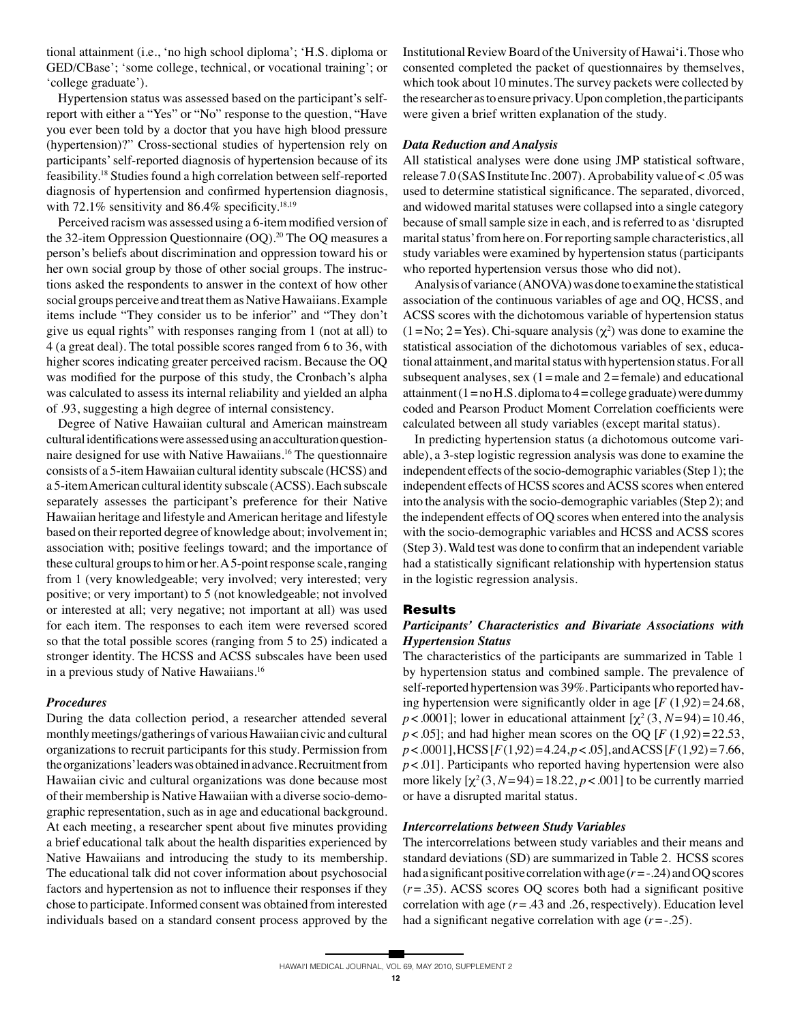tional attainment (i.e., 'no high school diploma'; 'H.S. diploma or GED/CBase'; 'some college, technical, or vocational training'; or 'college graduate').

 Hypertension status was assessed based on the participant's selfreport with either a "Yes" or "No" response to the question, "Have you ever been told by a doctor that you have high blood pressure (hypertension)?" Cross-sectional studies of hypertension rely on participants' self-reported diagnosis of hypertension because of its feasibility.18 Studies found a high correlation between self-reported diagnosis of hypertension and confirmed hypertension diagnosis, with 72.1% sensitivity and 86.4% specificity.<sup>18,19</sup>

 Perceived racism was assessed using a 6-item modified version of the 32-item Oppression Questionnaire  $(OQ)$ .<sup>20</sup> The OQ measures a person's beliefs about discrimination and oppression toward his or her own social group by those of other social groups. The instructions asked the respondents to answer in the context of how other social groups perceive and treat them as Native Hawaiians. Example items include "They consider us to be inferior" and "They don't give us equal rights" with responses ranging from 1 (not at all) to 4 (a great deal). The total possible scores ranged from 6 to 36, with higher scores indicating greater perceived racism. Because the OQ was modified for the purpose of this study, the Cronbach's alpha was calculated to assess its internal reliability and yielded an alpha of .93, suggesting a high degree of internal consistency.

 Degree of Native Hawaiian cultural and American mainstream cultural identifications were assessed using an acculturation questionnaire designed for use with Native Hawaiians.16 The questionnaire consists of a 5-item Hawaiian cultural identity subscale (HCSS) and a 5-item American cultural identity subscale (ACSS). Each subscale separately assesses the participant's preference for their Native Hawaiian heritage and lifestyle and American heritage and lifestyle based on their reported degree of knowledge about; involvement in; association with; positive feelings toward; and the importance of these cultural groups to him or her. A 5-point response scale, ranging from 1 (very knowledgeable; very involved; very interested; very positive; or very important) to 5 (not knowledgeable; not involved or interested at all; very negative; not important at all) was used for each item. The responses to each item were reversed scored so that the total possible scores (ranging from 5 to 25) indicated a stronger identity. The HCSS and ACSS subscales have been used in a previous study of Native Hawaiians.<sup>16</sup>

## *Procedures*

During the data collection period, a researcher attended several monthly meetings/gatherings of various Hawaiian civic and cultural organizations to recruit participants for this study. Permission from the organizations' leaders was obtained in advance. Recruitment from Hawaiian civic and cultural organizations was done because most of their membership is Native Hawaiian with a diverse socio-demographic representation, such as in age and educational background. At each meeting, a researcher spent about five minutes providing a brief educational talk about the health disparities experienced by Native Hawaiians and introducing the study to its membership. The educational talk did not cover information about psychosocial factors and hypertension as not to influence their responses if they chose to participate. Informed consent was obtained from interested individuals based on a standard consent process approved by the

Institutional Review Board of the University of Hawai'i. Those who consented completed the packet of questionnaires by themselves, which took about 10 minutes. The survey packets were collected by the researcher as to ensure privacy. Upon completion, the participants were given a brief written explanation of the study.

## *Data Reduction and Analysis*

All statistical analyses were done using JMP statistical software, release 7.0 (SAS Institute Inc. 2007). A probability value of < .05 was used to determine statistical significance. The separated, divorced, and widowed marital statuses were collapsed into a single category because of small sample size in each, and is referred to as 'disrupted marital status' from here on. For reporting sample characteristics, all study variables were examined by hypertension status (participants who reported hypertension versus those who did not).

 Analysis of variance (ANOVA) was done to examine the statistical association of the continuous variables of age and OQ, HCSS, and ACSS scores with the dichotomous variable of hypertension status  $(1 = No; 2 = Yes)$ . Chi-square analysis  $(\chi^2)$  was done to examine the statistical association of the dichotomous variables of sex, educational attainment, and marital status with hypertension status. For all subsequent analyses, sex  $(1)$  = male and  $2$  = female) and educational attainment  $(1 = no H.S.diploma to 4 = college graduate)$  were dummy coded and Pearson Product Moment Correlation coefficients were calculated between all study variables (except marital status).

 In predicting hypertension status (a dichotomous outcome variable), a 3-step logistic regression analysis was done to examine the independent effects of the socio-demographic variables (Step 1); the independent effects of HCSS scores and ACSS scores when entered into the analysis with the socio-demographic variables (Step 2); and the independent effects of OQ scores when entered into the analysis with the socio-demographic variables and HCSS and ACSS scores (Step 3). Wald test was done to confirm that an independent variable had a statistically significant relationship with hypertension status in the logistic regression analysis.

## **Results**

## *Participants' Characteristics and Bivariate Associations with Hypertension Status*

The characteristics of the participants are summarized in Table 1 by hypertension status and combined sample. The prevalence of self-reported hypertension was 39%. Participants who reported having hypertension were significantly older in age  $[F(1,92) = 24.68]$ , *p* < .0001]; lower in educational attainment  $[\chi^2(3, N=94) = 10.46$ ,  $p$  < .05]; and had higher mean scores on the OQ [ $F$  (1,92) = 22.53, *p* < *.*0001], HCSS [*F* (1,92) = 4.24, *p* < *.*05], and ACSS [*F* (1,92) = 7.66, *p* < *.*01]. Participants who reported having hypertension were also more likely  $[\chi^2(3, N=94) = 18.22, p < .001]$  to be currently married or have a disrupted marital status.

## *Intercorrelations between Study Variables*

The intercorrelations between study variables and their means and standard deviations (SD) are summarized in Table 2. HCSS scores had a significant positive correlation with age (*r* = -.24) and OQ scores (*r* = .35). ACSS scores OQ scores both had a significant positive correlation with age  $(r = .43$  and  $.26$ , respectively). Education level had a significant negative correlation with age  $(r = -0.25)$ .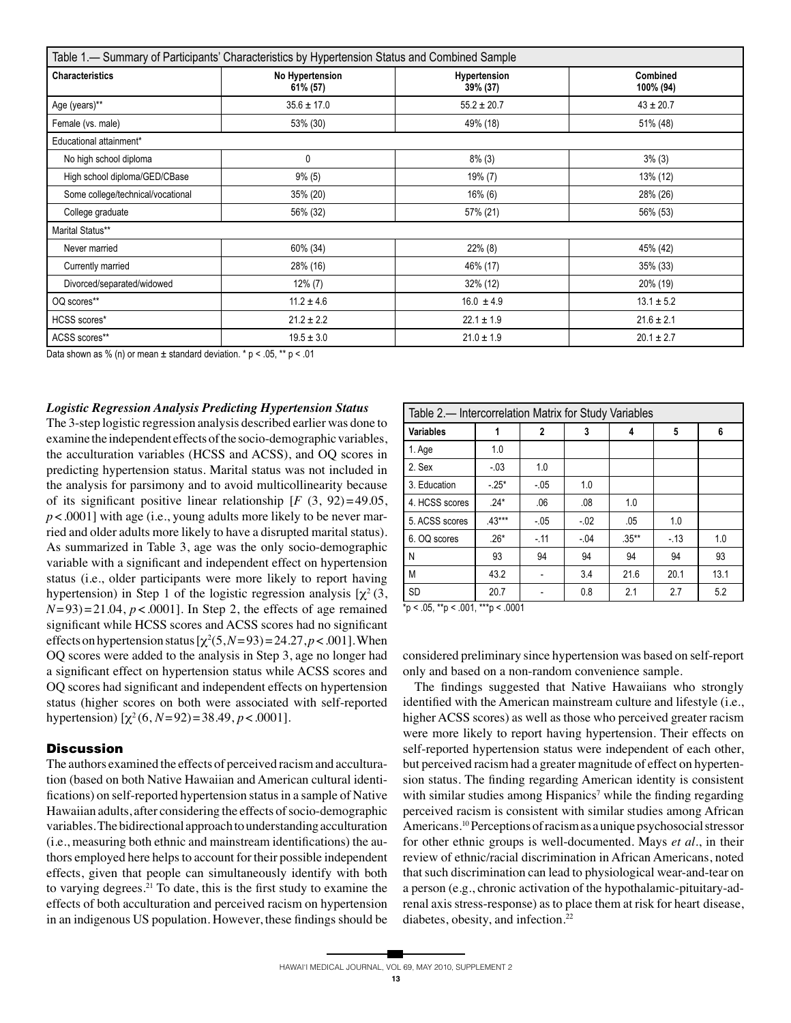| Table 1.— Summary of Participants' Characteristics by Hypertension Status and Combined Sample |                             |                          |                       |  |  |  |  |  |
|-----------------------------------------------------------------------------------------------|-----------------------------|--------------------------|-----------------------|--|--|--|--|--|
| <b>Characteristics</b>                                                                        | No Hypertension<br>61% (57) | Hypertension<br>39% (37) | Combined<br>100% (94) |  |  |  |  |  |
| Age (years)**                                                                                 | $35.6 \pm 17.0$             | $55.2 \pm 20.7$          | $43 \pm 20.7$         |  |  |  |  |  |
| Female (vs. male)                                                                             | 53% (30)                    | 49% (18)                 | 51% (48)              |  |  |  |  |  |
| Educational attainment*                                                                       |                             |                          |                       |  |  |  |  |  |
| No high school diploma                                                                        | 0                           | $8\%$ (3)                | $3\%$ (3)             |  |  |  |  |  |
| High school diploma/GED/CBase                                                                 | $9\%$ (5)                   | 19% (7)                  | 13% (12)              |  |  |  |  |  |
| Some college/technical/vocational                                                             | 35% (20)                    | $16\%$ (6)               | 28% (26)              |  |  |  |  |  |
| College graduate                                                                              | 56% (32)                    | 57% (21)                 | 56% (53)              |  |  |  |  |  |
| Marital Status**                                                                              |                             |                          |                       |  |  |  |  |  |
| Never married                                                                                 | 60% (34)                    | 22% (8)                  | 45% (42)              |  |  |  |  |  |
| Currently married                                                                             | 28% (16)                    | 46% (17)                 | 35% (33)              |  |  |  |  |  |
| Divorced/separated/widowed                                                                    | $12\% (7)$                  | 32% (12)                 | 20% (19)              |  |  |  |  |  |
| OQ scores**                                                                                   | $11.2 \pm 4.6$              | $16.0 \pm 4.9$           | $13.1 \pm 5.2$        |  |  |  |  |  |
| HCSS scores*                                                                                  | $21.2 \pm 2.2$              | $22.1 \pm 1.9$           | $21.6 \pm 2.1$        |  |  |  |  |  |
| ACSS scores**                                                                                 | $19.5 \pm 3.0$              | $21.0 \pm 1.9$           | $20.1 \pm 2.7$        |  |  |  |  |  |

Data shown as % (n) or mean  $\pm$  standard deviation. \* p < .05, \*\* p < .01

#### *Logistic Regression Analysis Predicting Hypertension Status*

The 3-step logistic regression analysis described earlier was done to examine the independent effects of the socio-demographic variables, the acculturation variables (HCSS and ACSS), and OQ scores in predicting hypertension status. Marital status was not included in the analysis for parsimony and to avoid multicollinearity because of its significant positive linear relationship  $[F (3, 92) = 49.05]$ ,  $p$  < .0001] with age (i.e., young adults more likely to be never married and older adults more likely to have a disrupted marital status). As summarized in Table 3, age was the only socio-demographic variable with a significant and independent effect on hypertension status (i.e., older participants were more likely to report having hypertension) in Step 1 of the logistic regression analysis  $[\chi^2(3, \cdot)]$  $(N=93) = 21.04$ ,  $p < .0001$ . In Step 2, the effects of age remained significant while HCSS scores and ACSS scores had no significant effects on hypertension status  $[\chi^2(5, N=93) = 24.27, p < .001]$ . When OQ scores were added to the analysis in Step 3, age no longer had a significant effect on hypertension status while ACSS scores and OQ scores had significant and independent effects on hypertension status (higher scores on both were associated with self-reported hypertension)  $[\chi^2(6, N=92) = 38.49, p < .0001]$ .

## **Discussion**

The authors examined the effects of perceived racism and acculturation (based on both Native Hawaiian and American cultural identifications) on self-reported hypertension status in a sample of Native Hawaiian adults, after considering the effects of socio-demographic variables. The bidirectional approach to understanding acculturation (i.e., measuring both ethnic and mainstream identifications) the authors employed here helps to account for their possible independent effects, given that people can simultaneously identify with both to varying degrees.21 To date, this is the first study to examine the effects of both acculturation and perceived racism on hypertension in an indigenous US population. However, these findings should be

| Table 2.- Intercorrelation Matrix for Study Variables |          |              |         |          |       |      |  |  |
|-------------------------------------------------------|----------|--------------|---------|----------|-------|------|--|--|
| <b>Variables</b>                                      |          | $\mathbf{2}$ | 3       | 4        | 5     | 6    |  |  |
| 1. Age                                                | 1.0      |              |         |          |       |      |  |  |
| 2. Sex                                                | $-03$    | 1.0          |         |          |       |      |  |  |
| 3. Education                                          | $-25*$   | $-.05$       | 1.0     |          |       |      |  |  |
| 4. HCSS scores                                        | $.24*$   | .06          | .08     | 1.0      |       |      |  |  |
| 5. ACSS scores                                        | $.43***$ | $-.05$       | $-0.02$ | .05      | 1.0   |      |  |  |
| 6. OQ scores                                          | $.26*$   | $-.11$       | $-.04$  | $.35***$ | $-13$ | 1.0  |  |  |
| N                                                     | 93       | 94           | 94      | 94       | 94    | 93   |  |  |
| M                                                     | 43.2     |              | 3.4     | 21.6     | 20.1  | 13.1 |  |  |
| <b>SD</b>                                             | 20.7     |              | 0.8     | 2.1      | 2.7   | 5.2  |  |  |

 $\frac{1}{2}$  rp < .05,  $\frac{1}{2}$  rp < .001,  $\frac{1}{2}$  resp. < .0001

considered preliminary since hypertension was based on self-report only and based on a non-random convenience sample.

 The findings suggested that Native Hawaiians who strongly identified with the American mainstream culture and lifestyle (i.e., higher ACSS scores) as well as those who perceived greater racism were more likely to report having hypertension. Their effects on self-reported hypertension status were independent of each other, but perceived racism had a greater magnitude of effect on hypertension status. The finding regarding American identity is consistent with similar studies among Hispanics<sup>7</sup> while the finding regarding perceived racism is consistent with similar studies among African Americans.10 Perceptions of racism as a unique psychosocial stressor for other ethnic groups is well-documented. Mays *et al.*, in their review of ethnic/racial discrimination in African Americans, noted that such discrimination can lead to physiological wear-and-tear on a person (e.g., chronic activation of the hypothalamic-pituitary-adrenal axis stress-response) as to place them at risk for heart disease, diabetes, obesity, and infection.<sup>22</sup>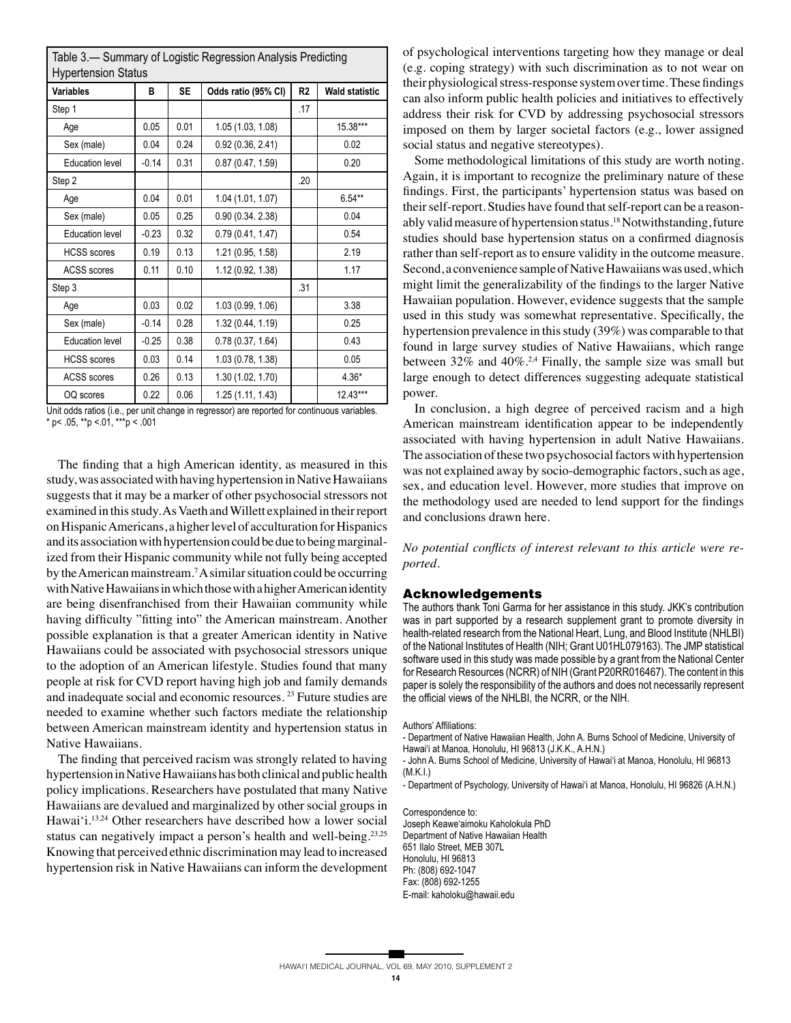| Table 3.— Summary of Logistic Regression Analysis Predicting<br><b>Hypertension Status</b> |         |           |                     |                |                       |  |  |
|--------------------------------------------------------------------------------------------|---------|-----------|---------------------|----------------|-----------------------|--|--|
| <b>Variables</b>                                                                           | в       | <b>SE</b> | Odds ratio (95% CI) | R <sub>2</sub> | <b>Wald statistic</b> |  |  |
| Step 1                                                                                     |         |           |                     | .17            |                       |  |  |
| Age                                                                                        | 0.05    | 0.01      | 1.05 (1.03, 1.08)   |                | 15.38***              |  |  |
| Sex (male)                                                                                 | 0.04    | 0.24      | 0.92(0.36, 2.41)    |                | 0.02                  |  |  |
| <b>Education level</b>                                                                     | $-0.14$ | 0.31      | 0.87(0.47, 1.59)    |                | 0.20                  |  |  |
| Step 2                                                                                     |         |           |                     | .20            |                       |  |  |
| Age                                                                                        | 0.04    | 0.01      | 1.04 (1.01, 1.07)   |                | $6.54***$             |  |  |
| Sex (male)                                                                                 | 0.05    | 0.25      | 0.90(0.34.2.38)     |                | 0.04                  |  |  |
| <b>Education level</b>                                                                     | $-0.23$ | 0.32      | 0.79(0.41, 1.47)    |                | 0.54                  |  |  |
| <b>HCSS</b> scores                                                                         | 0.19    | 0.13      | 1.21 (0.95, 1.58)   |                | 2.19                  |  |  |
| <b>ACSS</b> scores                                                                         | 0.11    | 0.10      | 1.12 (0.92, 1.38)   |                | 1.17                  |  |  |
| Step 3                                                                                     |         |           |                     | .31            |                       |  |  |
| Age                                                                                        | 0.03    | 0.02      | 1.03(0.99, 1.06)    |                | 3.38                  |  |  |
| Sex (male)                                                                                 | $-0.14$ | 0.28      | 1.32 (0.44, 1.19)   |                | 0.25                  |  |  |
| <b>Education level</b>                                                                     | $-0.25$ | 0.38      | 0.78(0.37, 1.64)    |                | 0.43                  |  |  |
| <b>HCSS</b> scores                                                                         | 0.03    | 0.14      | 1.03 (0.78, 1.38)   |                | 0.05                  |  |  |
| <b>ACSS</b> scores                                                                         | 0.26    | 0.13      | 1.30 (1.02, 1.70)   |                | $4.36*$               |  |  |
| OQ scores                                                                                  | 0.22    | 0.06      | 1.25 (1.11, 1.43)   |                | $12.43***$            |  |  |

Unit odds ratios (i.e., per unit change in regressor) are reported for continuous variables.  $*$  p < .05,  $*$  $*$ p < .01,  $*$  $*$  $*$ p < .001

 The finding that a high American identity, as measured in this study, was associated with having hypertension in Native Hawaiians suggests that it may be a marker of other psychosocial stressors not examined in this study. As Vaeth and Willett explained in their report on Hispanic Americans, a higher level of acculturation for Hispanics and its association with hypertension could be due to being marginalized from their Hispanic community while not fully being accepted by the American mainstream.<sup>7</sup> A similar situation could be occurring with Native Hawaiians in which those with a higher American identity are being disenfranchised from their Hawaiian community while having difficulty "fitting into" the American mainstream. Another possible explanation is that a greater American identity in Native Hawaiians could be associated with psychosocial stressors unique to the adoption of an American lifestyle. Studies found that many people at risk for CVD report having high job and family demands and inadequate social and economic resources. 23 Future studies are needed to examine whether such factors mediate the relationship between American mainstream identity and hypertension status in Native Hawaiians.

 The finding that perceived racism was strongly related to having hypertension in Native Hawaiians has both clinical and public health policy implications. Researchers have postulated that many Native Hawaiians are devalued and marginalized by other social groups in Hawai'i.13,24 Other researchers have described how a lower social status can negatively impact a person's health and well-being.<sup>23,25</sup> Knowing that perceived ethnic discrimination may lead to increased hypertension risk in Native Hawaiians can inform the development of psychological interventions targeting how they manage or deal (e.g. coping strategy) with such discrimination as to not wear on their physiological stress-response system over time. These findings can also inform public health policies and initiatives to effectively address their risk for CVD by addressing psychosocial stressors imposed on them by larger societal factors (e.g., lower assigned social status and negative stereotypes).

 Some methodological limitations of this study are worth noting. Again, it is important to recognize the preliminary nature of these findings. First, the participants' hypertension status was based on their self-report. Studies have found that self-report can be a reasonably valid measure of hypertension status.<sup>18</sup> Notwithstanding, future studies should base hypertension status on a confirmed diagnosis rather than self-report as to ensure validity in the outcome measure. Second, a convenience sample of Native Hawaiians was used, which might limit the generalizability of the findings to the larger Native Hawaiian population. However, evidence suggests that the sample used in this study was somewhat representative. Specifically, the hypertension prevalence in this study (39%) was comparable to that found in large survey studies of Native Hawaiians, which range between  $32\%$  and  $40\%$ .<sup>2,4</sup> Finally, the sample size was small but large enough to detect differences suggesting adequate statistical power.

 In conclusion, a high degree of perceived racism and a high American mainstream identification appear to be independently associated with having hypertension in adult Native Hawaiians. The association of these two psychosocial factors with hypertension was not explained away by socio-demographic factors, such as age, sex, and education level. However, more studies that improve on the methodology used are needed to lend support for the findings and conclusions drawn here.

*No potential conflicts of interest relevant to this article were reported.*

### **Acknowledgements**

The authors thank Toni Garma for her assistance in this study. JKK's contribution was in part supported by a research supplement grant to promote diversity in health-related research from the National Heart, Lung, and Blood Institute (NHLBI) of the National Institutes of Health (NIH; Grant U01HL079163). The JMP statistical software used in this study was made possible by a grant from the National Center for Research Resources (NCRR) of NIH (Grant P20RR016467). The content in this paper is solely the responsibility of the authors and does not necessarily represent the official views of the NHLBI, the NCRR, or the NIH.

Authors' Affiliations:

- Department of Native Hawaiian Health, John A. Burns School of Medicine, University of Hawai'i at Manoa, Honolulu, HI 96813 (J.K.K., A.H.N.)
- John A. Burns School of Medicine, University of Hawai'i at Manoa, Honolulu, HI 96813 (M.K.I.)

- Department of Psychology, University of Hawai'i at Manoa, Honolulu, HI 96826 (A.H.N.)

Correspondence to: Joseph Keawe'aimoku Kaholokula PhD Department of Native Hawaiian Health 651 Ilalo Street, MEB 307L Honolulu, HI 96813 Ph: (808) 692-1047 Fax: (808) 692-1255 E-mail: kaholoku@hawaii.edu